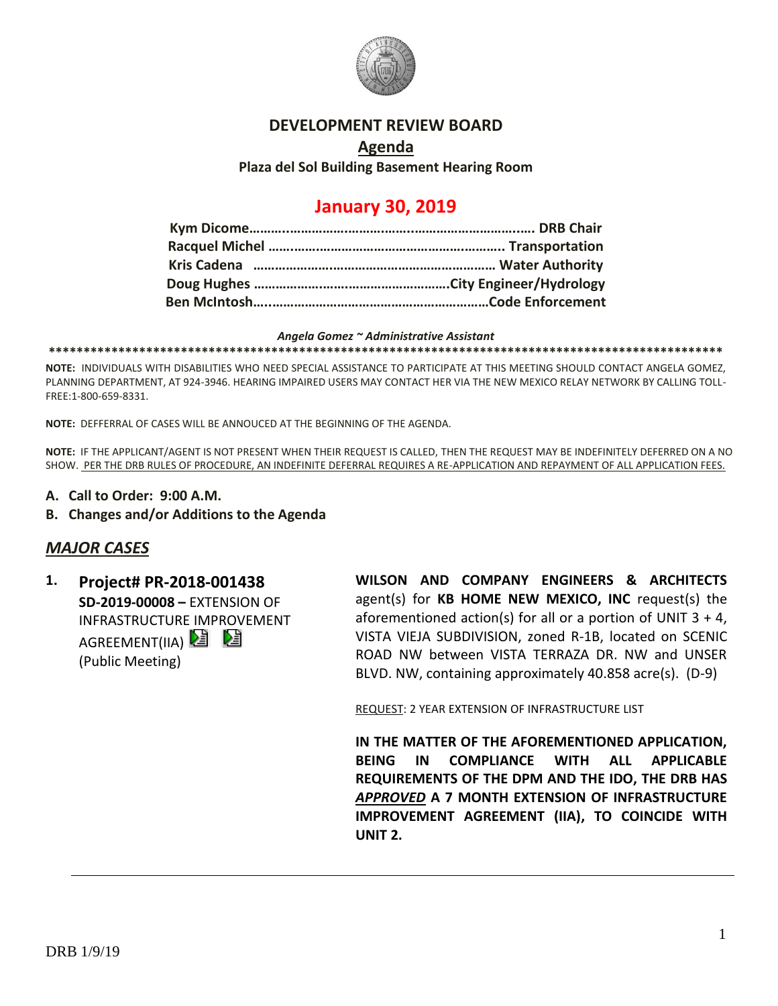

### **DEVELOPMENT REVIEW BOARD**

### **Agenda Plaza del Sol Building Basement Hearing Room**

# **January 30, 2019**

#### *Angela Gomez ~ Administrative Assistant*

**\*\*\*\*\*\*\*\*\*\*\*\*\*\*\*\*\*\*\*\*\*\*\*\*\*\*\*\*\*\*\*\*\*\*\*\*\*\*\*\*\*\*\*\*\*\*\*\*\*\*\*\*\*\*\*\*\*\*\*\*\*\*\*\*\*\*\*\*\*\*\*\*\*\*\*\*\*\*\*\*\*\*\*\*\*\*\*\*\*\*\*\*\*\*\*\*\***

**NOTE:** INDIVIDUALS WITH DISABILITIES WHO NEED SPECIAL ASSISTANCE TO PARTICIPATE AT THIS MEETING SHOULD CONTACT ANGELA GOMEZ, PLANNING DEPARTMENT, AT 924-3946. HEARING IMPAIRED USERS MAY CONTACT HER VIA THE NEW MEXICO RELAY NETWORK BY CALLING TOLL-FREE:1-800-659-8331.

**NOTE:** DEFFERRAL OF CASES WILL BE ANNOUCED AT THE BEGINNING OF THE AGENDA.

**NOTE:** IF THE APPLICANT/AGENT IS NOT PRESENT WHEN THEIR REQUEST IS CALLED, THEN THE REQUEST MAY BE INDEFINITELY DEFERRED ON A NO SHOW. PER THE DRB RULES OF PROCEDURE, AN INDEFINITE DEFERRAL REQUIRES A RE-APPLICATION AND REPAYMENT OF ALL APPLICATION FEES.

- **A. Call to Order: 9:00 A.M.**
- **B. Changes and/or Additions to the Agenda**

### *MAJOR CASES*

**1. Project# PR-2018-001438 SD-2019-00008 –** EXTENSION OF INFRASTRUCTURE IMPROVEMENT AGREEMENT(IIA)  $\mathbf{E}$   $\mathbf{E}$ (Public Meeting)

**WILSON AND COMPANY ENGINEERS & ARCHITECTS** agent(s) for **KB HOME NEW MEXICO, INC** request(s) the aforementioned action(s) for all or a portion of UNIT  $3 + 4$ , VISTA VIEJA SUBDIVISION, zoned R-1B, located on SCENIC ROAD NW between VISTA TERRAZA DR. NW and UNSER BLVD. NW, containing approximately 40.858 acre(s). (D-9)

REQUEST: 2 YEAR EXTENSION OF INFRASTRUCTURE LIST

**IN THE MATTER OF THE AFOREMENTIONED APPLICATION, BEING IN COMPLIANCE WITH ALL APPLICABLE REQUIREMENTS OF THE DPM AND THE IDO, THE DRB HAS**  *APPROVED* **A 7 MONTH EXTENSION OF INFRASTRUCTURE IMPROVEMENT AGREEMENT (IIA), TO COINCIDE WITH UNIT 2.**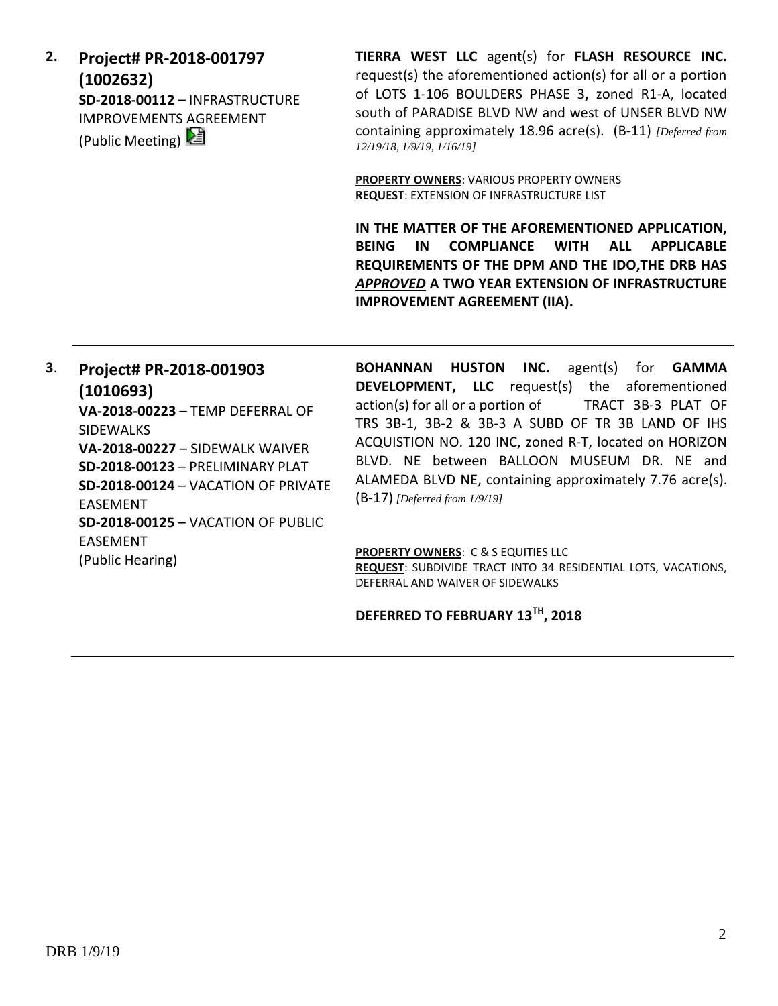**2. Project# PR-2018-001797 (1002632) SD-2018-00112 –** INFRASTRUCTURE IMPROVEMENTS AGREEMENT (Public Meeting)

**TIERRA WEST LLC** agent(s) for **FLASH RESOURCE INC.** request(s) the aforementioned action(s) for all or a portion of LOTS 1-106 BOULDERS PHASE 3**,** zoned R1-A, located south of PARADISE BLVD NW and west of UNSER BLVD NW containing approximately 18.96 acre(s). (B-11) *[Deferred from 12/19/18, 1/9/19, 1/16/19]*

**PROPERTY OWNERS**: VARIOUS PROPERTY OWNERS **REQUEST**: EXTENSION OF INFRASTRUCTURE LIST

**IN THE MATTER OF THE AFOREMENTIONED APPLICATION, BEING IN COMPLIANCE WITH ALL APPLICABLE REQUIREMENTS OF THE DPM AND THE IDO,THE DRB HAS**  *APPROVED* **A TWO YEAR EXTENSION OF INFRASTRUCTURE IMPROVEMENT AGREEMENT (IIA).**

# **3**. **Project# PR-2018-001903 (1010693)**

**VA-2018-00223** – TEMP DEFERRAL OF SIDEWALKS **VA-2018-00227** – SIDEWALK WAIVER **SD-2018-00123** – PRELIMINARY PLAT **SD-2018-00124** – VACATION OF PRIVATE EASEMENT **SD-2018-00125** – VACATION OF PUBLIC EASEMENT (Public Hearing)

**BOHANNAN HUSTON INC.** agent(s) for **GAMMA DEVELOPMENT, LLC** request(s) the aforementioned action(s) for all or a portion of TRACT 3B-3 PLAT OF TRS 3B-1, 3B-2 & 3B-3 A SUBD OF TR 3B LAND OF IHS ACQUISTION NO. 120 INC, zoned R-T, located on HORIZON BLVD. NE between BALLOON MUSEUM DR. NE and ALAMEDA BLVD NE, containing approximately 7.76 acre(s). (B-17) *[Deferred from 1/9/19]*

**PROPERTY OWNERS**: C & S EQUITIES LLC

**REQUEST**: SUBDIVIDE TRACT INTO 34 RESIDENTIAL LOTS, VACATIONS, DEFERRAL AND WAIVER OF SIDEWALKS

# **DEFERRED TO FEBRUARY 13TH, 2018**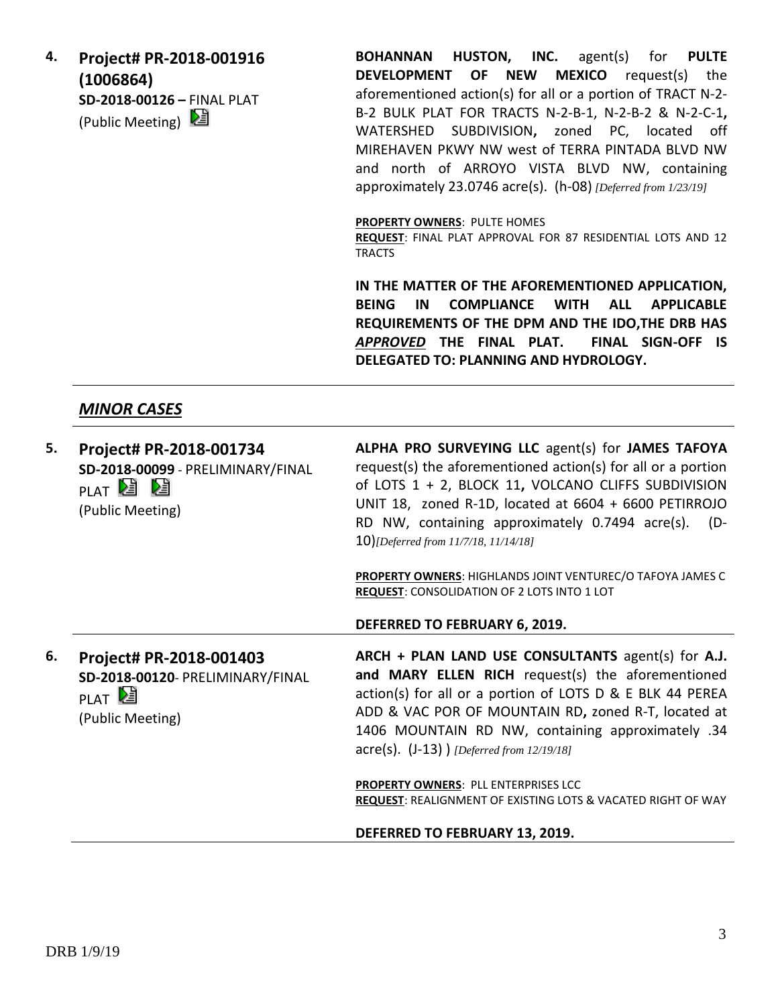**4. Project# PR-2018-001916 (1006864) SD-2018-00126 –** FINAL PLAT (Public Meeting)  $\boxed{\mathbf{E}}$ 

**BOHANNAN HUSTON, INC.** agent(s) for **PULTE DEVELOPMENT OF NEW MEXICO** request(s) the aforementioned action(s) for all or a portion of TRACT N-2- B-2 BULK PLAT FOR TRACTS N-2-B-1, N-2-B-2 & N-2-C-1**,**  WATERSHED SUBDIVISION**,** zoned PC, located off MIREHAVEN PKWY NW west of TERRA PINTADA BLVD NW and north of ARROYO VISTA BLVD NW, containing approximately 23.0746 acre(s). (h-08) *[Deferred from 1/23/19]*

**PROPERTY OWNERS**: PULTE HOMES

**REQUEST**: FINAL PLAT APPROVAL FOR 87 RESIDENTIAL LOTS AND 12 TRACTS

**IN THE MATTER OF THE AFOREMENTIONED APPLICATION, BEING IN COMPLIANCE WITH ALL APPLICABLE REQUIREMENTS OF THE DPM AND THE IDO,THE DRB HAS**  *APPROVED* **THE FINAL PLAT. FINAL SIGN-OFF IS DELEGATED TO: PLANNING AND HYDROLOGY.**

# *MINOR CASES*

| 5. | Project# PR-2018-001734<br>SD-2018-00099 - PRELIMINARY/FINAL<br>PLAT <sup>2</sup> 2<br>(Public Meeting) | ALPHA PRO SURVEYING LLC agent(s) for JAMES TAFOYA<br>request(s) the aforementioned action(s) for all or a portion<br>of LOTS 1 + 2, BLOCK 11, VOLCANO CLIFFS SUBDIVISION<br>UNIT 18, zoned R-1D, located at 6604 + 6600 PETIRROJO<br>RD NW, containing approximately 0.7494 acre(s).<br>(D-<br>10)[Deferred from 11/7/18, 11/14/18] |
|----|---------------------------------------------------------------------------------------------------------|-------------------------------------------------------------------------------------------------------------------------------------------------------------------------------------------------------------------------------------------------------------------------------------------------------------------------------------|
|    |                                                                                                         | PROPERTY OWNERS: HIGHLANDS JOINT VENTUREC/O TAFOYA JAMES C<br><b>REQUEST: CONSOLIDATION OF 2 LOTS INTO 1 LOT</b>                                                                                                                                                                                                                    |
|    |                                                                                                         | DEFERRED TO FEBRUARY 6, 2019.                                                                                                                                                                                                                                                                                                       |
| 6. | Project# PR-2018-001403                                                                                 | ARCH + PLAN LAND USE CONSULTANTS agent(s) for A.J.                                                                                                                                                                                                                                                                                  |
|    | SD-2018-00120- PRELIMINARY/FINAL<br>PLAT <sup>D</sup><br>(Public Meeting)                               | and MARY ELLEN RICH request(s) the aforementioned<br>action(s) for all or a portion of LOTS D & E BLK 44 PEREA<br>ADD & VAC POR OF MOUNTAIN RD, zoned R-T, located at<br>1406 MOUNTAIN RD NW, containing approximately .34<br>$\text{acre}(s)$ . (J-13) ) [Deferred from 12/19/18]                                                  |
|    |                                                                                                         | <b>PROPERTY OWNERS: PLL ENTERPRISES LCC</b><br><b>REQUEST: REALIGNMENT OF EXISTING LOTS &amp; VACATED RIGHT OF WAY</b>                                                                                                                                                                                                              |